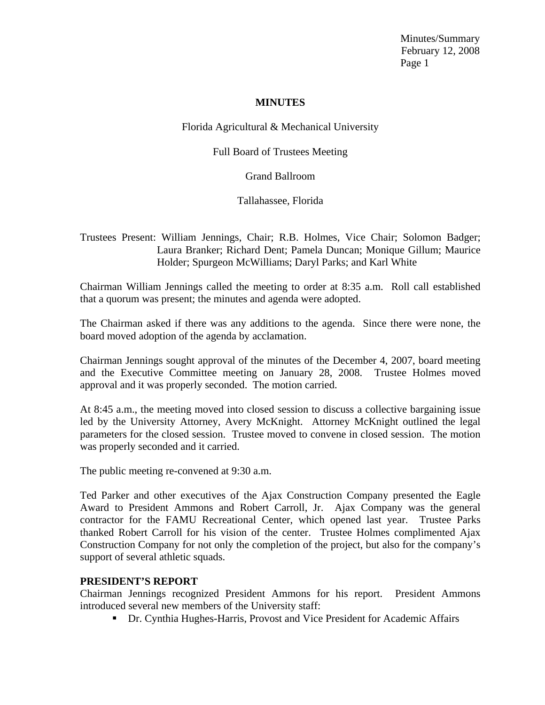#### **MINUTES**

## Florida Agricultural & Mechanical University

## Full Board of Trustees Meeting

## Grand Ballroom

# Tallahassee, Florida

## Trustees Present: William Jennings, Chair; R.B. Holmes, Vice Chair; Solomon Badger; Laura Branker; Richard Dent; Pamela Duncan; Monique Gillum; Maurice Holder; Spurgeon McWilliams; Daryl Parks; and Karl White

Chairman William Jennings called the meeting to order at 8:35 a.m. Roll call established that a quorum was present; the minutes and agenda were adopted.

The Chairman asked if there was any additions to the agenda. Since there were none, the board moved adoption of the agenda by acclamation.

Chairman Jennings sought approval of the minutes of the December 4, 2007, board meeting and the Executive Committee meeting on January 28, 2008. Trustee Holmes moved approval and it was properly seconded. The motion carried.

At 8:45 a.m., the meeting moved into closed session to discuss a collective bargaining issue led by the University Attorney, Avery McKnight. Attorney McKnight outlined the legal parameters for the closed session. Trustee moved to convene in closed session. The motion was properly seconded and it carried.

The public meeting re-convened at 9:30 a.m.

Ted Parker and other executives of the Ajax Construction Company presented the Eagle Award to President Ammons and Robert Carroll, Jr. Ajax Company was the general contractor for the FAMU Recreational Center, which opened last year. Trustee Parks thanked Robert Carroll for his vision of the center. Trustee Holmes complimented Ajax Construction Company for not only the completion of the project, but also for the company's support of several athletic squads.

## **PRESIDENT'S REPORT**

Chairman Jennings recognized President Ammons for his report. President Ammons introduced several new members of the University staff:

■ Dr. Cynthia Hughes-Harris, Provost and Vice President for Academic Affairs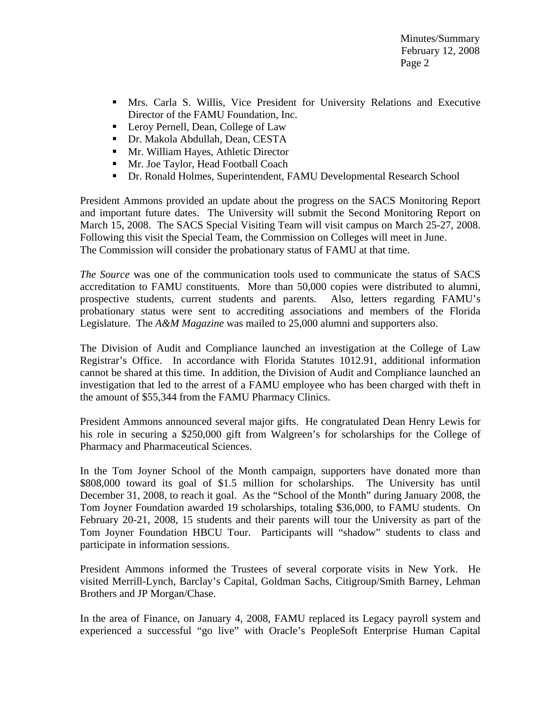- Mrs. Carla S. Willis, Vice President for University Relations and Executive Director of the FAMU Foundation, Inc.
- Leroy Pernell, Dean, College of Law
- Dr. Makola Abdullah, Dean, CESTA
- **Mr. William Hayes, Athletic Director**
- **Mr. Joe Taylor, Head Football Coach**
- Dr. Ronald Holmes, Superintendent, FAMU Developmental Research School

President Ammons provided an update about the progress on the SACS Monitoring Report and important future dates. The University will submit the Second Monitoring Report on March 15, 2008. The SACS Special Visiting Team will visit campus on March 25-27, 2008. Following this visit the Special Team, the Commission on Colleges will meet in June. The Commission will consider the probationary status of FAMU at that time.

*The Source* was one of the communication tools used to communicate the status of SACS accreditation to FAMU constituents. More than 50,000 copies were distributed to alumni, prospective students, current students and parents. Also, letters regarding FAMU's probationary status were sent to accrediting associations and members of the Florida Legislature. The *A&M Magazine* was mailed to 25,000 alumni and supporters also.

The Division of Audit and Compliance launched an investigation at the College of Law Registrar's Office. In accordance with Florida Statutes 1012.91, additional information cannot be shared at this time. In addition, the Division of Audit and Compliance launched an investigation that led to the arrest of a FAMU employee who has been charged with theft in the amount of \$55,344 from the FAMU Pharmacy Clinics.

President Ammons announced several major gifts. He congratulated Dean Henry Lewis for his role in securing a \$250,000 gift from Walgreen's for scholarships for the College of Pharmacy and Pharmaceutical Sciences.

In the Tom Joyner School of the Month campaign, supporters have donated more than \$808,000 toward its goal of \$1.5 million for scholarships. The University has until December 31, 2008, to reach it goal. As the "School of the Month" during January 2008, the Tom Joyner Foundation awarded 19 scholarships, totaling \$36,000, to FAMU students. On February 20-21, 2008, 15 students and their parents will tour the University as part of the Tom Joyner Foundation HBCU Tour. Participants will "shadow" students to class and participate in information sessions.

President Ammons informed the Trustees of several corporate visits in New York. He visited Merrill-Lynch, Barclay's Capital, Goldman Sachs, Citigroup/Smith Barney, Lehman Brothers and JP Morgan/Chase.

In the area of Finance, on January 4, 2008, FAMU replaced its Legacy payroll system and experienced a successful "go live" with Oracle's PeopleSoft Enterprise Human Capital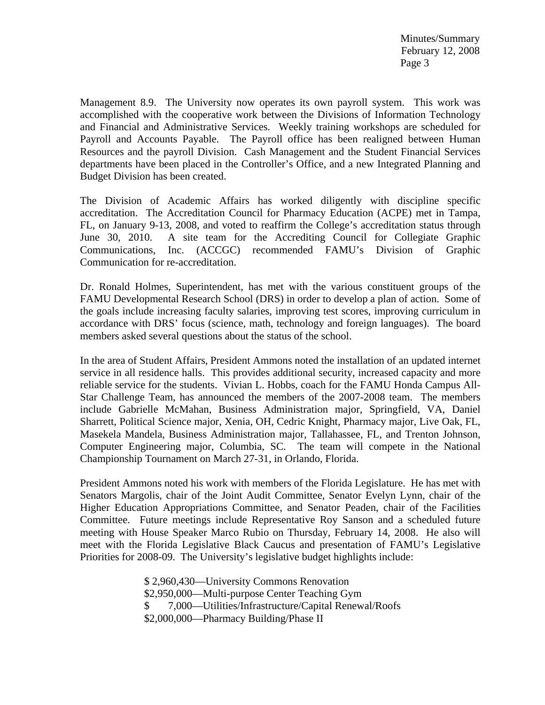Management 8.9. The University now operates its own payroll system. This work was accomplished with the cooperative work between the Divisions of Information Technology and Financial and Administrative Services. Weekly training workshops are scheduled for Payroll and Accounts Payable. The Payroll office has been realigned between Human Resources and the payroll Division. Cash Management and the Student Financial Services departments have been placed in the Controller's Office, and a new Integrated Planning and Budget Division has been created.

The Division of Academic Affairs has worked diligently with discipline specific accreditation. The Accreditation Council for Pharmacy Education (ACPE) met in Tampa, FL, on January 9-13, 2008, and voted to reaffirm the College's accreditation status through June 30, 2010. A site team for the Accrediting Council for Collegiate Graphic Communications, Inc. (ACCGC) recommended FAMU's Division of Graphic Communication for re-accreditation.

Dr. Ronald Holmes, Superintendent, has met with the various constituent groups of the FAMU Developmental Research School (DRS) in order to develop a plan of action. Some of the goals include increasing faculty salaries, improving test scores, improving curriculum in accordance with DRS' focus (science, math, technology and foreign languages). The board members asked several questions about the status of the school.

In the area of Student Affairs, President Ammons noted the installation of an updated internet service in all residence halls. This provides additional security, increased capacity and more reliable service for the students. Vivian L. Hobbs, coach for the FAMU Honda Campus All-Star Challenge Team, has announced the members of the 2007-2008 team. The members include Gabrielle McMahan, Business Administration major, Springfield, VA, Daniel Sharrett, Political Science major, Xenia, OH, Cedric Knight, Pharmacy major, Live Oak, FL, Masekela Mandela, Business Administration major, Tallahassee, FL, and Trenton Johnson, Computer Engineering major, Columbia, SC. The team will compete in the National Championship Tournament on March 27-31, in Orlando, Florida.

President Ammons noted his work with members of the Florida Legislature. He has met with Senators Margolis, chair of the Joint Audit Committee, Senator Evelyn Lynn, chair of the Higher Education Appropriations Committee, and Senator Peaden, chair of the Facilities Committee. Future meetings include Representative Roy Sanson and a scheduled future meeting with House Speaker Marco Rubio on Thursday, February 14, 2008. He also will meet with the Florida Legislative Black Caucus and presentation of FAMU's Legislative Priorities for 2008-09. The University's legislative budget highlights include:

> \$ 2,960,430—University Commons Renovation \$2,950,000—Multi-purpose Center Teaching Gym \$ 7,000—Utilities/Infrastructure/Capital Renewal/Roofs \$2,000,000—Pharmacy Building/Phase II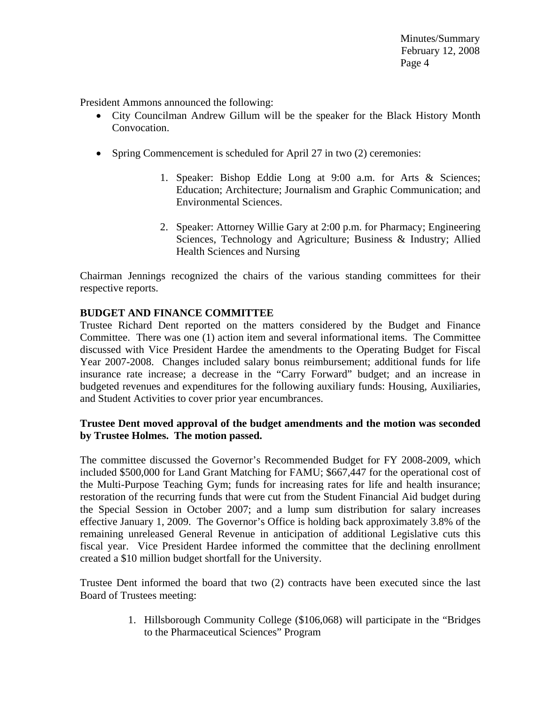President Ammons announced the following:

- City Councilman Andrew Gillum will be the speaker for the Black History Month Convocation.
- Spring Commencement is scheduled for April 27 in two (2) ceremonies:
	- 1. Speaker: Bishop Eddie Long at 9:00 a.m. for Arts & Sciences; Education; Architecture; Journalism and Graphic Communication; and Environmental Sciences.
	- 2. Speaker: Attorney Willie Gary at 2:00 p.m. for Pharmacy; Engineering Sciences, Technology and Agriculture; Business & Industry; Allied Health Sciences and Nursing

Chairman Jennings recognized the chairs of the various standing committees for their respective reports.

#### **BUDGET AND FINANCE COMMITTEE**

Trustee Richard Dent reported on the matters considered by the Budget and Finance Committee. There was one (1) action item and several informational items. The Committee discussed with Vice President Hardee the amendments to the Operating Budget for Fiscal Year 2007-2008. Changes included salary bonus reimbursement; additional funds for life insurance rate increase; a decrease in the "Carry Forward" budget; and an increase in budgeted revenues and expenditures for the following auxiliary funds: Housing, Auxiliaries, and Student Activities to cover prior year encumbrances.

#### **Trustee Dent moved approval of the budget amendments and the motion was seconded by Trustee Holmes. The motion passed.**

The committee discussed the Governor's Recommended Budget for FY 2008-2009, which included \$500,000 for Land Grant Matching for FAMU; \$667,447 for the operational cost of the Multi-Purpose Teaching Gym; funds for increasing rates for life and health insurance; restoration of the recurring funds that were cut from the Student Financial Aid budget during the Special Session in October 2007; and a lump sum distribution for salary increases effective January 1, 2009. The Governor's Office is holding back approximately 3.8% of the remaining unreleased General Revenue in anticipation of additional Legislative cuts this fiscal year. Vice President Hardee informed the committee that the declining enrollment created a \$10 million budget shortfall for the University.

Trustee Dent informed the board that two (2) contracts have been executed since the last Board of Trustees meeting:

> 1. Hillsborough Community College (\$106,068) will participate in the "Bridges to the Pharmaceutical Sciences" Program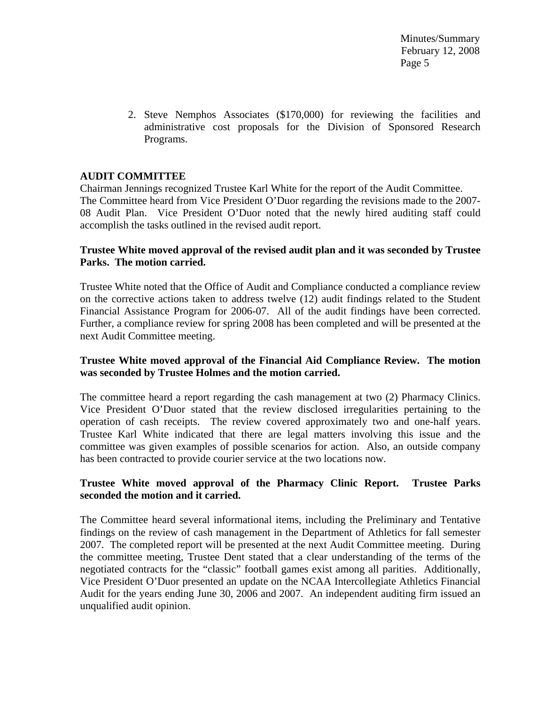> 2. Steve Nemphos Associates (\$170,000) for reviewing the facilities and administrative cost proposals for the Division of Sponsored Research Programs.

## **AUDIT COMMITTEE**

Chairman Jennings recognized Trustee Karl White for the report of the Audit Committee. The Committee heard from Vice President O'Duor regarding the revisions made to the 2007- 08 Audit Plan. Vice President O'Duor noted that the newly hired auditing staff could accomplish the tasks outlined in the revised audit report.

### **Trustee White moved approval of the revised audit plan and it was seconded by Trustee Parks. The motion carried.**

Trustee White noted that the Office of Audit and Compliance conducted a compliance review on the corrective actions taken to address twelve (12) audit findings related to the Student Financial Assistance Program for 2006-07. All of the audit findings have been corrected. Further, a compliance review for spring 2008 has been completed and will be presented at the next Audit Committee meeting.

### **Trustee White moved approval of the Financial Aid Compliance Review. The motion was seconded by Trustee Holmes and the motion carried.**

The committee heard a report regarding the cash management at two (2) Pharmacy Clinics. Vice President O'Duor stated that the review disclosed irregularities pertaining to the operation of cash receipts. The review covered approximately two and one-half years. Trustee Karl White indicated that there are legal matters involving this issue and the committee was given examples of possible scenarios for action. Also, an outside company has been contracted to provide courier service at the two locations now.

### **Trustee White moved approval of the Pharmacy Clinic Report. Trustee Parks seconded the motion and it carried.**

The Committee heard several informational items, including the Preliminary and Tentative findings on the review of cash management in the Department of Athletics for fall semester 2007. The completed report will be presented at the next Audit Committee meeting. During the committee meeting, Trustee Dent stated that a clear understanding of the terms of the negotiated contracts for the "classic" football games exist among all parities. Additionally, Vice President O'Duor presented an update on the NCAA Intercollegiate Athletics Financial Audit for the years ending June 30, 2006 and 2007. An independent auditing firm issued an unqualified audit opinion.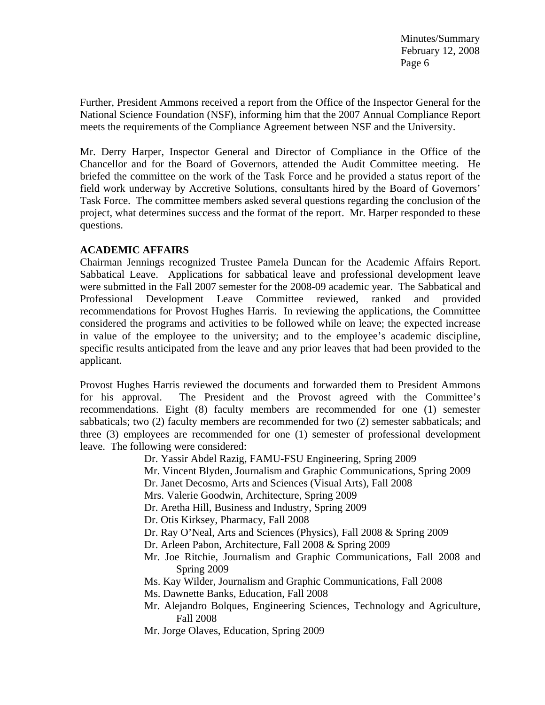Further, President Ammons received a report from the Office of the Inspector General for the National Science Foundation (NSF), informing him that the 2007 Annual Compliance Report meets the requirements of the Compliance Agreement between NSF and the University.

Mr. Derry Harper, Inspector General and Director of Compliance in the Office of the Chancellor and for the Board of Governors, attended the Audit Committee meeting. He briefed the committee on the work of the Task Force and he provided a status report of the field work underway by Accretive Solutions, consultants hired by the Board of Governors' Task Force. The committee members asked several questions regarding the conclusion of the project, what determines success and the format of the report. Mr. Harper responded to these questions.

### **ACADEMIC AFFAIRS**

Chairman Jennings recognized Trustee Pamela Duncan for the Academic Affairs Report. Sabbatical Leave. Applications for sabbatical leave and professional development leave were submitted in the Fall 2007 semester for the 2008-09 academic year. The Sabbatical and Professional Development Leave Committee reviewed, ranked and provided recommendations for Provost Hughes Harris. In reviewing the applications, the Committee considered the programs and activities to be followed while on leave; the expected increase in value of the employee to the university; and to the employee's academic discipline, specific results anticipated from the leave and any prior leaves that had been provided to the applicant.

Provost Hughes Harris reviewed the documents and forwarded them to President Ammons for his approval. The President and the Provost agreed with the Committee's recommendations. Eight (8) faculty members are recommended for one (1) semester sabbaticals; two (2) faculty members are recommended for two (2) semester sabbaticals; and three (3) employees are recommended for one (1) semester of professional development leave. The following were considered:

Dr. Yassir Abdel Razig, FAMU-FSU Engineering, Spring 2009

Mr. Vincent Blyden, Journalism and Graphic Communications, Spring 2009

Dr. Janet Decosmo, Arts and Sciences (Visual Arts), Fall 2008

Mrs. Valerie Goodwin, Architecture, Spring 2009

Dr. Aretha Hill, Business and Industry, Spring 2009

Dr. Otis Kirksey, Pharmacy, Fall 2008

Dr. Ray O'Neal, Arts and Sciences (Physics), Fall 2008 & Spring 2009

- Dr. Arleen Pabon, Architecture, Fall 2008 & Spring 2009
- Mr. Joe Ritchie, Journalism and Graphic Communications, Fall 2008 and Spring 2009

Ms. Kay Wilder, Journalism and Graphic Communications, Fall 2008

- Ms. Dawnette Banks, Education, Fall 2008
- Mr. Alejandro Bolques, Engineering Sciences, Technology and Agriculture, Fall 2008
- Mr. Jorge Olaves, Education, Spring 2009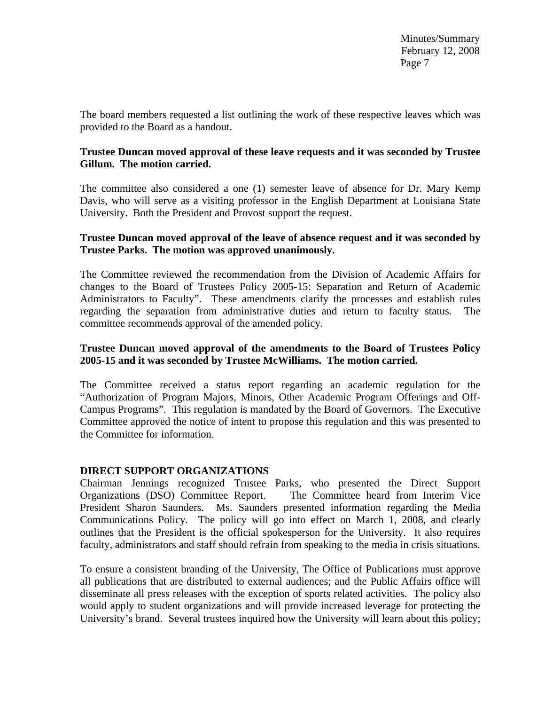The board members requested a list outlining the work of these respective leaves which was provided to the Board as a handout.

### **Trustee Duncan moved approval of these leave requests and it was seconded by Trustee Gillum. The motion carried.**

The committee also considered a one (1) semester leave of absence for Dr. Mary Kemp Davis, who will serve as a visiting professor in the English Department at Louisiana State University. Both the President and Provost support the request.

### **Trustee Duncan moved approval of the leave of absence request and it was seconded by Trustee Parks. The motion was approved unanimously.**

The Committee reviewed the recommendation from the Division of Academic Affairs for changes to the Board of Trustees Policy 2005-15: Separation and Return of Academic Administrators to Faculty". These amendments clarify the processes and establish rules regarding the separation from administrative duties and return to faculty status. The committee recommends approval of the amended policy.

### **Trustee Duncan moved approval of the amendments to the Board of Trustees Policy 2005-15 and it was seconded by Trustee McWilliams. The motion carried.**

The Committee received a status report regarding an academic regulation for the "Authorization of Program Majors, Minors, Other Academic Program Offerings and Off-Campus Programs". This regulation is mandated by the Board of Governors. The Executive Committee approved the notice of intent to propose this regulation and this was presented to the Committee for information.

#### **DIRECT SUPPORT ORGANIZATIONS**

Chairman Jennings recognized Trustee Parks, who presented the Direct Support Organizations (DSO) Committee Report. The Committee heard from Interim Vice President Sharon Saunders. Ms. Saunders presented information regarding the Media Communications Policy. The policy will go into effect on March 1, 2008, and clearly outlines that the President is the official spokesperson for the University. It also requires faculty, administrators and staff should refrain from speaking to the media in crisis situations.

To ensure a consistent branding of the University, The Office of Publications must approve all publications that are distributed to external audiences; and the Public Affairs office will disseminate all press releases with the exception of sports related activities. The policy also would apply to student organizations and will provide increased leverage for protecting the University's brand. Several trustees inquired how the University will learn about this policy;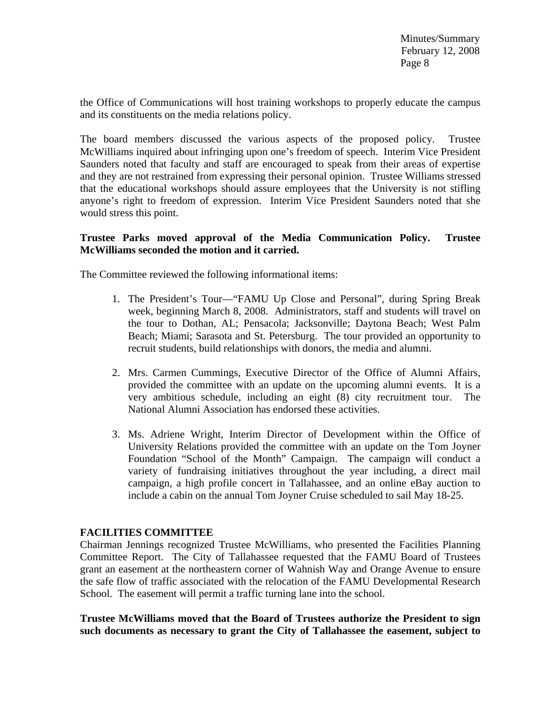the Office of Communications will host training workshops to properly educate the campus and its constituents on the media relations policy.

The board members discussed the various aspects of the proposed policy. Trustee McWilliams inquired about infringing upon one's freedom of speech. Interim Vice President Saunders noted that faculty and staff are encouraged to speak from their areas of expertise and they are not restrained from expressing their personal opinion. Trustee Williams stressed that the educational workshops should assure employees that the University is not stifling anyone's right to freedom of expression. Interim Vice President Saunders noted that she would stress this point.

## **Trustee Parks moved approval of the Media Communication Policy. Trustee McWilliams seconded the motion and it carried.**

The Committee reviewed the following informational items:

- 1. The President's Tour—"FAMU Up Close and Personal", during Spring Break week, beginning March 8, 2008. Administrators, staff and students will travel on the tour to Dothan, AL; Pensacola; Jacksonville; Daytona Beach; West Palm Beach; Miami; Sarasota and St. Petersburg. The tour provided an opportunity to recruit students, build relationships with donors, the media and alumni.
- 2. Mrs. Carmen Cummings, Executive Director of the Office of Alumni Affairs, provided the committee with an update on the upcoming alumni events. It is a very ambitious schedule, including an eight (8) city recruitment tour. The National Alumni Association has endorsed these activities.
- 3. Ms. Adriene Wright, Interim Director of Development within the Office of University Relations provided the committee with an update on the Tom Joyner Foundation "School of the Month" Campaign. The campaign will conduct a variety of fundraising initiatives throughout the year including, a direct mail campaign, a high profile concert in Tallahassee, and an online eBay auction to include a cabin on the annual Tom Joyner Cruise scheduled to sail May 18-25.

#### **FACILITIES COMMITTEE**

Chairman Jennings recognized Trustee McWilliams, who presented the Facilities Planning Committee Report. The City of Tallahassee requested that the FAMU Board of Trustees grant an easement at the northeastern corner of Wahnish Way and Orange Avenue to ensure the safe flow of traffic associated with the relocation of the FAMU Developmental Research School. The easement will permit a traffic turning lane into the school.

**Trustee McWilliams moved that the Board of Trustees authorize the President to sign such documents as necessary to grant the City of Tallahassee the easement, subject to**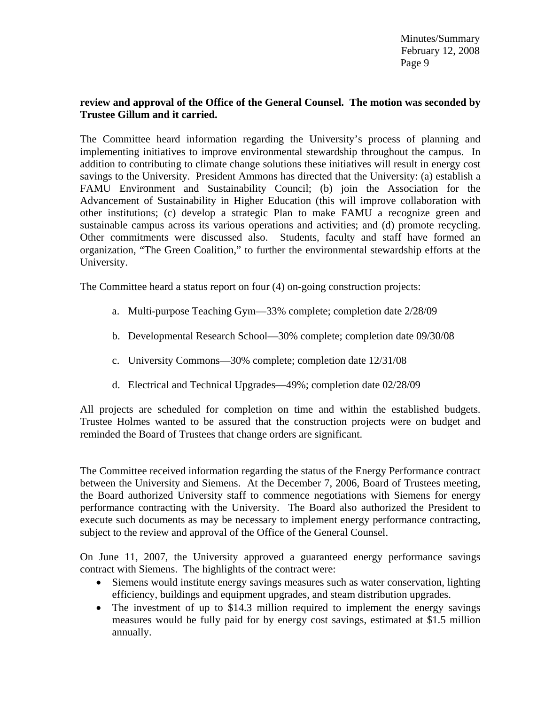### **review and approval of the Office of the General Counsel. The motion was seconded by Trustee Gillum and it carried.**

The Committee heard information regarding the University's process of planning and implementing initiatives to improve environmental stewardship throughout the campus. In addition to contributing to climate change solutions these initiatives will result in energy cost savings to the University. President Ammons has directed that the University: (a) establish a FAMU Environment and Sustainability Council; (b) join the Association for the Advancement of Sustainability in Higher Education (this will improve collaboration with other institutions; (c) develop a strategic Plan to make FAMU a recognize green and sustainable campus across its various operations and activities; and (d) promote recycling. Other commitments were discussed also. Students, faculty and staff have formed an organization, "The Green Coalition," to further the environmental stewardship efforts at the University.

The Committee heard a status report on four (4) on-going construction projects:

- a. Multi-purpose Teaching Gym—33% complete; completion date 2/28/09
- b. Developmental Research School—30% complete; completion date 09/30/08
- c. University Commons—30% complete; completion date 12/31/08
- d. Electrical and Technical Upgrades—49%; completion date 02/28/09

All projects are scheduled for completion on time and within the established budgets. Trustee Holmes wanted to be assured that the construction projects were on budget and reminded the Board of Trustees that change orders are significant.

The Committee received information regarding the status of the Energy Performance contract between the University and Siemens. At the December 7, 2006, Board of Trustees meeting, the Board authorized University staff to commence negotiations with Siemens for energy performance contracting with the University. The Board also authorized the President to execute such documents as may be necessary to implement energy performance contracting, subject to the review and approval of the Office of the General Counsel.

On June 11, 2007, the University approved a guaranteed energy performance savings contract with Siemens. The highlights of the contract were:

- Siemens would institute energy savings measures such as water conservation, lighting efficiency, buildings and equipment upgrades, and steam distribution upgrades.
- The investment of up to \$14.3 million required to implement the energy savings measures would be fully paid for by energy cost savings, estimated at \$1.5 million annually.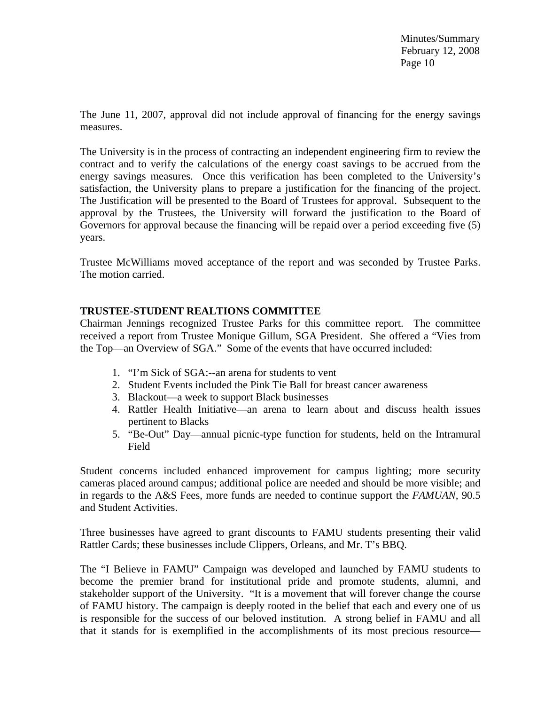The June 11, 2007, approval did not include approval of financing for the energy savings measures.

The University is in the process of contracting an independent engineering firm to review the contract and to verify the calculations of the energy coast savings to be accrued from the energy savings measures. Once this verification has been completed to the University's satisfaction, the University plans to prepare a justification for the financing of the project. The Justification will be presented to the Board of Trustees for approval. Subsequent to the approval by the Trustees, the University will forward the justification to the Board of Governors for approval because the financing will be repaid over a period exceeding five (5) years.

Trustee McWilliams moved acceptance of the report and was seconded by Trustee Parks. The motion carried.

#### **TRUSTEE-STUDENT REALTIONS COMMITTEE**

Chairman Jennings recognized Trustee Parks for this committee report. The committee received a report from Trustee Monique Gillum, SGA President. She offered a "Vies from the Top—an Overview of SGA." Some of the events that have occurred included:

- 1. "I'm Sick of SGA:--an arena for students to vent
- 2. Student Events included the Pink Tie Ball for breast cancer awareness
- 3. Blackout—a week to support Black businesses
- 4. Rattler Health Initiative—an arena to learn about and discuss health issues pertinent to Blacks
- 5. "Be-Out" Day—annual picnic-type function for students, held on the Intramural Field

Student concerns included enhanced improvement for campus lighting; more security cameras placed around campus; additional police are needed and should be more visible; and in regards to the A&S Fees, more funds are needed to continue support the *FAMUAN*, 90.5 and Student Activities.

Three businesses have agreed to grant discounts to FAMU students presenting their valid Rattler Cards; these businesses include Clippers, Orleans, and Mr. T's BBQ.

The "I Believe in FAMU" Campaign was developed and launched by FAMU students to become the premier brand for institutional pride and promote students, alumni, and stakeholder support of the University. "It is a movement that will forever change the course of FAMU history. The campaign is deeply rooted in the belief that each and every one of us is responsible for the success of our beloved institution. A strong belief in FAMU and all that it stands for is exemplified in the accomplishments of its most precious resource—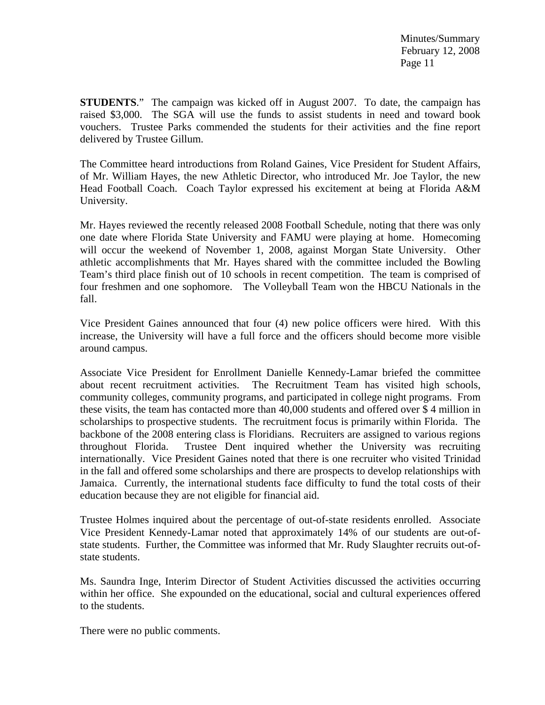**STUDENTS**." The campaign was kicked off in August 2007. To date, the campaign has raised \$3,000. The SGA will use the funds to assist students in need and toward book vouchers. Trustee Parks commended the students for their activities and the fine report delivered by Trustee Gillum.

The Committee heard introductions from Roland Gaines, Vice President for Student Affairs, of Mr. William Hayes, the new Athletic Director, who introduced Mr. Joe Taylor, the new Head Football Coach. Coach Taylor expressed his excitement at being at Florida A&M University.

Mr. Hayes reviewed the recently released 2008 Football Schedule, noting that there was only one date where Florida State University and FAMU were playing at home. Homecoming will occur the weekend of November 1, 2008, against Morgan State University. Other athletic accomplishments that Mr. Hayes shared with the committee included the Bowling Team's third place finish out of 10 schools in recent competition. The team is comprised of four freshmen and one sophomore. The Volleyball Team won the HBCU Nationals in the fall.

Vice President Gaines announced that four (4) new police officers were hired. With this increase, the University will have a full force and the officers should become more visible around campus.

Associate Vice President for Enrollment Danielle Kennedy-Lamar briefed the committee about recent recruitment activities. The Recruitment Team has visited high schools, community colleges, community programs, and participated in college night programs. From these visits, the team has contacted more than 40,000 students and offered over \$ 4 million in scholarships to prospective students. The recruitment focus is primarily within Florida. The backbone of the 2008 entering class is Floridians. Recruiters are assigned to various regions throughout Florida. Trustee Dent inquired whether the University was recruiting internationally. Vice President Gaines noted that there is one recruiter who visited Trinidad in the fall and offered some scholarships and there are prospects to develop relationships with Jamaica. Currently, the international students face difficulty to fund the total costs of their education because they are not eligible for financial aid.

Trustee Holmes inquired about the percentage of out-of-state residents enrolled. Associate Vice President Kennedy-Lamar noted that approximately 14% of our students are out-ofstate students. Further, the Committee was informed that Mr. Rudy Slaughter recruits out-ofstate students.

Ms. Saundra Inge, Interim Director of Student Activities discussed the activities occurring within her office. She expounded on the educational, social and cultural experiences offered to the students.

There were no public comments.